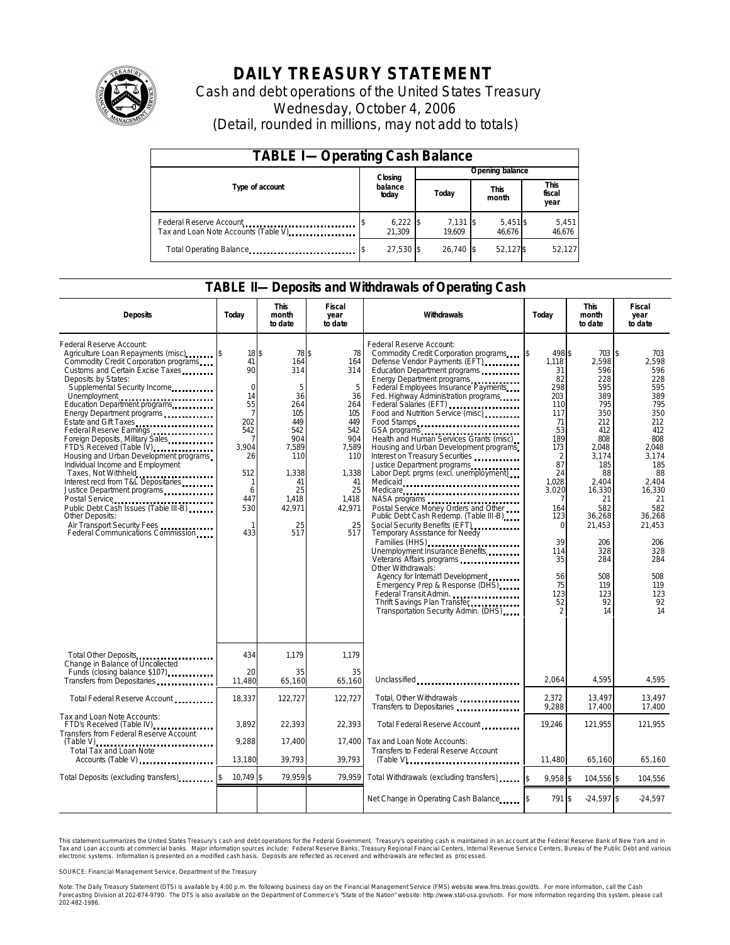

# **DAILY TREASURY STATEMENT**

Cash and debt operations of the United States Treasury Wednesday, October 4, 2006 (Detail, rounded in millions, may not add to totals)

| <b>TABLE I-Operating Cash Balance</b>                            |         |                      |  |                      |  |                      |  |                        |
|------------------------------------------------------------------|---------|----------------------|--|----------------------|--|----------------------|--|------------------------|
|                                                                  | Closing |                      |  | Opening balance      |  |                      |  |                        |
| Type of account                                                  |         | balance<br>today     |  | Today                |  | <b>This</b><br>month |  | This<br>fiscal<br>year |
| Federal Reserve Account<br>Tax and Loan Note Accounts (Table V). |         | $6,222$ \$<br>21.309 |  | $7,131$ \$<br>19.609 |  | $5,451$ \$<br>46.676 |  | 5,451<br>46,676        |
| Total Operating Balance                                          |         | 27,530 \$            |  | 26.740 \$            |  | 52,127\$             |  | 52,127                 |

### **TABLE II—Deposits and Withdrawals of Operating Cash**

| <b>Deposits</b>                                                                                                                                                                                                                                                                                                                                                                                                                                                                                                                                                                                                                                                               | Today                                                                                                                                                                                        | <b>This</b><br>month<br>to date                                                                                                        | <b>Fiscal</b><br>year<br>to date                                                                                                    | Withdrawals                                                                                                                                                                                                                                                                                                                                                                                                                                                                                                                                                                                                                                                                                                                                                                                                                                                                                                                                                              | Today                                                                                                                                                                                                         | <b>This</b><br>month<br>to date                                                                                                                                                                                      | <b>Fiscal</b><br>year<br>to date                                                                                                                                                                                            |
|-------------------------------------------------------------------------------------------------------------------------------------------------------------------------------------------------------------------------------------------------------------------------------------------------------------------------------------------------------------------------------------------------------------------------------------------------------------------------------------------------------------------------------------------------------------------------------------------------------------------------------------------------------------------------------|----------------------------------------------------------------------------------------------------------------------------------------------------------------------------------------------|----------------------------------------------------------------------------------------------------------------------------------------|-------------------------------------------------------------------------------------------------------------------------------------|--------------------------------------------------------------------------------------------------------------------------------------------------------------------------------------------------------------------------------------------------------------------------------------------------------------------------------------------------------------------------------------------------------------------------------------------------------------------------------------------------------------------------------------------------------------------------------------------------------------------------------------------------------------------------------------------------------------------------------------------------------------------------------------------------------------------------------------------------------------------------------------------------------------------------------------------------------------------------|---------------------------------------------------------------------------------------------------------------------------------------------------------------------------------------------------------------|----------------------------------------------------------------------------------------------------------------------------------------------------------------------------------------------------------------------|-----------------------------------------------------------------------------------------------------------------------------------------------------------------------------------------------------------------------------|
| Federal Reserve Account:<br>Agriculture Loan Repayments (misc) [\$<br>Commodity Credit Corporation programs<br>Customs and Certain Excise Taxes<br>Deposits by States:<br>Supplemental Security Income<br>Education Department programs<br>Energy Department programs<br>Federal Reserve Earnings<br>Foreign Deposits, Military Sales<br>FTD's Received (Table IV)<br>Housing and Urban Development programs<br>Individual Income and Employment<br>Taxes, Not Withheld<br>Interest recd from T&L Depositaries<br>Justice Department programs<br>Public Debt Cash Issues (Table III-B)<br>Other Deposits:<br>Air Transport Security Fees<br>Federal Communications Commission | $18$ $\overline{\phantom{1}5}$<br>41<br>90<br>$\mathbf 0$<br>14<br>55<br>$\overline{7}$<br>202<br>542<br>$\overline{7}$<br>3,904<br>26<br>512<br>1<br>6<br>447<br>530<br>$\mathbf{1}$<br>433 | 78 \$<br>164<br>314<br>5<br>36<br>264<br>105<br>449<br>542<br>904<br>7,589<br>110<br>1,338<br>41<br>25<br>1,418<br>42,971<br>25<br>517 | 78<br>164<br>314<br>5<br>36<br>264<br>105<br>449<br>542<br>904<br>7,589<br>110<br>1,338<br>41<br>25<br>1,418<br>42,971<br>25<br>517 | Federal Reserve Account:<br>Commodity Credit Corporation programs<br>Defense Vendor Payments (EFT)<br>Education Department programs<br>Energy Department programs<br>Federal Employees Insurance Payments<br>Fed. Highway Administration programs<br>Federal Salaries (EFT)<br>Food and Nutrition Service (misc)<br>Food Stamps<br>Health and Human Services Grants (misc)<br>Housing and Urban Development programs<br>Interest on Treasury Securities<br>Justice Department programs<br>Labor Dept. prgms (excl. unemployment)<br>Medicaid<br>Medicare<br>Postal Service Money Orders and Other<br>Public Debt Cash Redemp. (Table III-B)<br>Social Security Benefits (EFT)<br><br>Temporary Assistance for Needy<br>Families (HHS)<br>Unemployment Insurance Benefits<br>Other Withdrawals:<br>Agency for Internat'l Development<br>Emergency Prep & Response (DHS)<br>Federal Transit Admin.<br>Thrift Savings Plan Transfer<br>Transportation Security Admin. (DHS) | 498 \$<br>ß.<br>1,118<br>31<br>82<br>298<br>203<br>110<br>117<br>71<br>53<br>189<br>173<br>$\overline{2}$<br>87<br>24<br>1.028<br>3.020<br>164<br>123<br>$\Omega$<br>39<br>114<br>35<br>56<br>75<br>123<br>52 | 703<br>2,598<br>596<br>228<br>595<br>389<br>795<br>350<br>212<br>412<br>808<br>2,048<br>3,174<br>185<br>88<br>2.404<br>16,330<br>21<br>582<br>36,268<br>21,453<br>206<br>328<br>284<br>508<br>119<br>123<br>92<br>14 | 1\$<br>703<br>2,598<br>596<br>228<br>595<br>389<br>795<br>350<br>212<br>412<br>808<br>2,048<br>3.174<br>185<br>88<br>2.404<br>16.330<br>21<br>582<br>36,268<br>21,453<br>206<br>328<br>284<br>508<br>119<br>123<br>92<br>14 |
| Total Other Deposits<br>Change in Balance of Uncollected                                                                                                                                                                                                                                                                                                                                                                                                                                                                                                                                                                                                                      | 434                                                                                                                                                                                          | 1.179                                                                                                                                  | 1.179                                                                                                                               |                                                                                                                                                                                                                                                                                                                                                                                                                                                                                                                                                                                                                                                                                                                                                                                                                                                                                                                                                                          |                                                                                                                                                                                                               |                                                                                                                                                                                                                      |                                                                                                                                                                                                                             |
| Funds (closing balance \$107)<br>Transfers from Depositaries                                                                                                                                                                                                                                                                                                                                                                                                                                                                                                                                                                                                                  | 20<br>11,480                                                                                                                                                                                 | 35<br>65,160                                                                                                                           | 35<br>65,160                                                                                                                        | Unclassified                                                                                                                                                                                                                                                                                                                                                                                                                                                                                                                                                                                                                                                                                                                                                                                                                                                                                                                                                             | 2,064                                                                                                                                                                                                         | 4,595                                                                                                                                                                                                                | 4,595                                                                                                                                                                                                                       |
| Total Federal Reserve Account                                                                                                                                                                                                                                                                                                                                                                                                                                                                                                                                                                                                                                                 | 18,337                                                                                                                                                                                       | 122,727                                                                                                                                | 122,727                                                                                                                             | Total, Other Withdrawals<br>Transfers to Depositaries                                                                                                                                                                                                                                                                                                                                                                                                                                                                                                                                                                                                                                                                                                                                                                                                                                                                                                                    | 2,372<br>9,288                                                                                                                                                                                                | 13,497<br>17,400                                                                                                                                                                                                     | 13,497<br>17,400                                                                                                                                                                                                            |
| Tax and Loan Note Accounts:<br>FTD's Received (Table IV)<br>Transfers from Federal Reserve Account                                                                                                                                                                                                                                                                                                                                                                                                                                                                                                                                                                            | 3.892                                                                                                                                                                                        | 22,393                                                                                                                                 | 22.393                                                                                                                              | Total Federal Reserve Account.                                                                                                                                                                                                                                                                                                                                                                                                                                                                                                                                                                                                                                                                                                                                                                                                                                                                                                                                           | 19.246                                                                                                                                                                                                        | 121.955                                                                                                                                                                                                              | 121,955                                                                                                                                                                                                                     |
| $(Table V)$<br><b>Total Tax and Loan Note</b><br>Accounts (Table V)                                                                                                                                                                                                                                                                                                                                                                                                                                                                                                                                                                                                           | 9,288<br>13,180                                                                                                                                                                              | 17.400<br>39.793                                                                                                                       | 17.400<br>39,793                                                                                                                    | Tax and Loan Note Accounts:<br>Transfers to Federal Reserve Account<br>$(Table V)$ , $\ldots$ , $\ldots$ , $\ldots$ , $\ldots$ , $\ldots$ , $\ldots$ , $\ldots$ , $\ldots$                                                                                                                                                                                                                                                                                                                                                                                                                                                                                                                                                                                                                                                                                                                                                                                               | 11.480                                                                                                                                                                                                        | 65,160                                                                                                                                                                                                               | 65,160                                                                                                                                                                                                                      |
| Total Deposits (excluding transfers)                                                                                                                                                                                                                                                                                                                                                                                                                                                                                                                                                                                                                                          | $10,749$ \$                                                                                                                                                                                  | 79,959 \$                                                                                                                              | 79,959                                                                                                                              | Total Withdrawals (excluding transfers)                                                                                                                                                                                                                                                                                                                                                                                                                                                                                                                                                                                                                                                                                                                                                                                                                                                                                                                                  | $9,958$ \$<br>$\mathbf{S}$                                                                                                                                                                                    | 104,556 \$                                                                                                                                                                                                           | 104,556                                                                                                                                                                                                                     |
|                                                                                                                                                                                                                                                                                                                                                                                                                                                                                                                                                                                                                                                                               |                                                                                                                                                                                              |                                                                                                                                        |                                                                                                                                     | Net Change in Operating Cash Balance                                                                                                                                                                                                                                                                                                                                                                                                                                                                                                                                                                                                                                                                                                                                                                                                                                                                                                                                     | 791 \$                                                                                                                                                                                                        | $-24,597$ \$                                                                                                                                                                                                         | $-24,597$                                                                                                                                                                                                                   |

This statement summarizes the United States Treasury's cash and debt operations for the Federal Government. Treasury's operating cash is maintained in an account at the Federal Reserve Bank of New York and in Tax and Loan accounts at commercial banks. Major information sources include: Federal Reserve Banks, Treasury Regional Financial Centers, Internal Revenue Service Centers, Bureau of the Public Debt and various<br>electronic s

SOURCE: Financial Management Service, Department of the Treasury

Note: The Daily Treasury Statement (DTS) is available by 4:00 p.m. the following business day on the Financial Management Service (FMS) website www.fms.treas.gov/dts. For more information, call the Cash<br>Forecasting Divisio 'S) is available by 4:00 p.m. the following business day on the Financial Management Service (FMS) website www.fms.treas.gov/dts. For more information, call the Cash<br>The DTS is also available on the Department of Commerce'